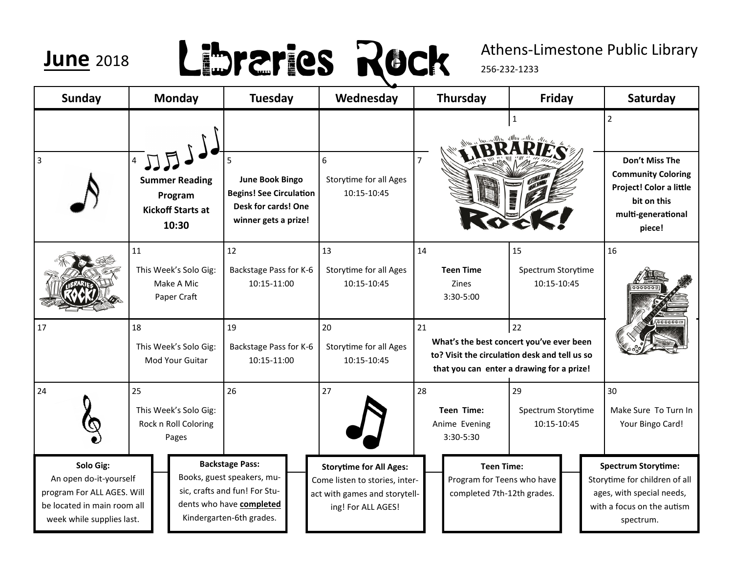### **June** <sup>2018</sup>

## Libraries Rock

### Athens-Limestone Public Library

256-232-1233

| <b>Sunday</b>                                                                                                                 | <b>Monday</b>                                                         | <b>Tuesday</b>                                                                                                                                | Wednesday                                                                                                               | Thursday                                                                                                                                           | Friday                                  | Saturday                                                                                                                                |
|-------------------------------------------------------------------------------------------------------------------------------|-----------------------------------------------------------------------|-----------------------------------------------------------------------------------------------------------------------------------------------|-------------------------------------------------------------------------------------------------------------------------|----------------------------------------------------------------------------------------------------------------------------------------------------|-----------------------------------------|-----------------------------------------------------------------------------------------------------------------------------------------|
| 3                                                                                                                             | <b>Summer Reading</b><br>Program<br><b>Kickoff Starts at</b><br>10:30 | 5<br><b>June Book Bingo</b><br><b>Begins! See Circulation</b><br>Desk for cards! One<br>winner gets a prize!                                  | $\sqrt{6}$<br><b>Storytime for all Ages</b><br>10:15-10:45                                                              | $\overline{7}$                                                                                                                                     | $\mathbf{1}$                            | $\overline{2}$<br>Don't Miss The<br><b>Community Coloring</b><br>Project! Color a little<br>bit on this<br>multi-generational<br>piece! |
|                                                                                                                               | 11<br>This Week's Solo Gig:<br>Make A Mic<br>Paper Craft              | 12<br>Backstage Pass for K-6<br>10:15-11:00                                                                                                   | 13<br><b>Storytime for all Ages</b><br>10:15-10:45                                                                      | 14<br><b>Teen Time</b><br><b>Zines</b><br>$3:30 - 5:00$                                                                                            | 15<br>Spectrum Storytime<br>10:15-10:45 | 16                                                                                                                                      |
| 17                                                                                                                            | 18<br>This Week's Solo Gig:<br>Mod Your Guitar                        | 19<br>Backstage Pass for K-6<br>10:15-11:00                                                                                                   | 20<br>Storytime for all Ages<br>10:15-10:45                                                                             | 22<br>21<br>What's the best concert you've ever been<br>to? Visit the circulation desk and tell us so<br>that you can enter a drawing for a prize! |                                         |                                                                                                                                         |
| 24                                                                                                                            | 25<br>This Week's Solo Gig:<br>Rock n Roll Coloring<br>Pages          | 26                                                                                                                                            | 27                                                                                                                      | 28<br><b>Teen Time:</b><br>Anime Evening<br>3:30-5:30                                                                                              | 29<br>Spectrum Storytime<br>10:15-10:45 | 30<br>Make Sure To Turn In<br>Your Bingo Card!                                                                                          |
| Solo Gig:<br>An open do-it-yourself<br>program For ALL AGES. Will<br>be located in main room all<br>week while supplies last. |                                                                       | <b>Backstage Pass:</b><br>Books, guest speakers, mu-<br>sic, crafts and fun! For Stu-<br>dents who have completed<br>Kindergarten-6th grades. | <b>Storytime for All Ages:</b><br>Come listen to stories, inter-<br>act with games and storytell-<br>ing! For ALL AGES! | <b>Teen Time:</b><br>Program for Teens who have<br>completed 7th-12th grades.                                                                      |                                         | <b>Spectrum Storytime:</b><br>Storytime for children of all<br>ages, with special needs,<br>with a focus on the autism<br>spectrum.     |